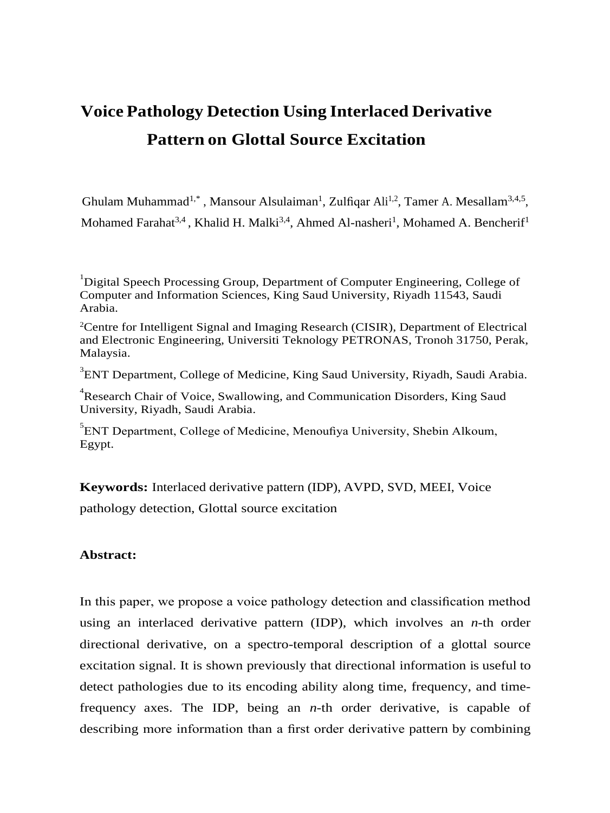# **Voice Pathology Detection Using Interlaced Derivative Pattern on Glottal Source Excitation**

<span id="page-0-0"></span>Ghulam Muhammad<sup>1[,](#page-0-0)\*</sup>, Mansour Alsulaiman<sup>1</sup>, Zulfiqar Ali<sup>1,2</sup>, Tamer A. Mesallam<sup>3,4,5</sup>, Mohamed Farahat<sup>3,4</sup>[, K](#page-0-1)halid H. Malki<sup>3,4</sup>[, A](#page-0-1)hmed Al-nasheri<sup>1</sup>, Mohamed A. Bencherif<sup>1</sup>

<sup>1</sup>Digital Speech Processing Group, Department of Computer Engineering, College of Computer and Information Sciences, King Saud University, Riyadh 11543, Saudi Arabia.

<sup>2</sup>Centre for Intelligent Signal and Imaging Research (CISIR), Department of Electrical and Electronic Engineering, Universiti Teknology PETRONAS, Tronoh 31750, Perak, Malaysia.

<span id="page-0-1"></span><sup>3</sup>ENT Department, College of Medicine, King Saud University, Riyadh, Saudi Arabia.

<sup>4</sup>Research Chair of Voice, Swallowing, and Communication Disorders, King Saud University, Riyadh, Saudi Arabia.

<sup>5</sup>ENT Department, College of Medicine, Menoufiya University, Shebin Alkoum, Egypt.

**Keywords:** Interlaced derivative pattern (IDP), AVPD, SVD, MEEI, Voice pathology detection, Glottal source excitation

## **Abstract:**

In this paper, we propose a voice pathology detection and classification method using an interlaced derivative pattern (IDP), which involves an *n*-th order directional derivative, on a spectro-temporal description of a glottal source excitation signal. It is shown previously that directional information is useful to detect pathologies due to its encoding ability along time, frequency, and timefrequency axes. The IDP, being an *n*-th order derivative, is capable of describing more information than a first order derivative pattern by combining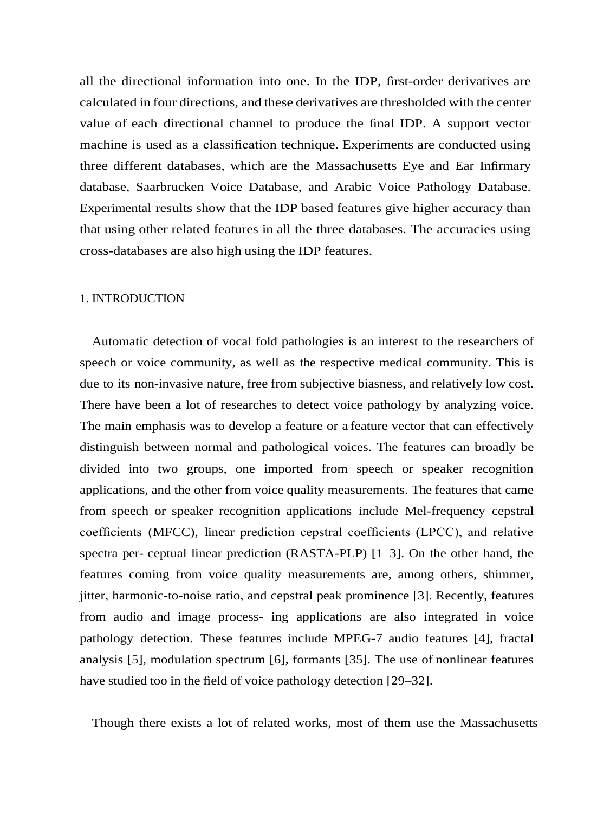all the directional information into one. In the IDP, first-order derivatives are calculated in four directions, and these derivatives are thresholded with the center value of each directional channel to produce the final IDP. A support vector machine is used as a classification technique. Experiments are conducted using three different databases, which are the Massachusetts Eye and Ear Infirmary database, Saarbrucken Voice Database, and Arabic Voice Pathology Database. Experimental results show that the IDP based features give higher accuracy than that using other related features in all the three databases. The accuracies using cross-databases are also high using the IDP features.

#### 1. INTRODUCTION

Automatic detection of vocal fold pathologies is an interest to the researchers of speech or voice community, as well as the respective medical community. This is due to its non-invasive nature, free from subjective biasness, and relatively low cost. There have been a lot of researches to detect voice pathology by analyzing voice. The main emphasis was to develop a feature or a feature vector that can effectively distinguish between normal and pathological voices. The features can broadly be divided into two groups, one imported from speech or speaker recognition applications, and the other from voice quality measurements. The features that came from speech or speaker recognition applications include Mel-frequency cepstral coefficients (MFCC), linear prediction cepstral coefficients (LPCC), and relative spectra per- ceptual linear prediction (RASTA-PLP) [1–3]. On the other hand, the features coming from voice quality measurements are, among others, shimmer, jitter, harmonic-to-noise ratio, and cepstral peak prominence [3]. Recently, features from audio and image process- ing applications are also integrated in voice pathology detection. These features include MPEG-7 audio features [4], fractal analysis [5], modulation spectrum [6], formants [\[35\]. T](#page-23-0)he use of nonlinear features have studied too in the field of voice pathology detection [\[29–32\].](#page-23-1)

Though there exists a lot of related works, most of them use the Massachusetts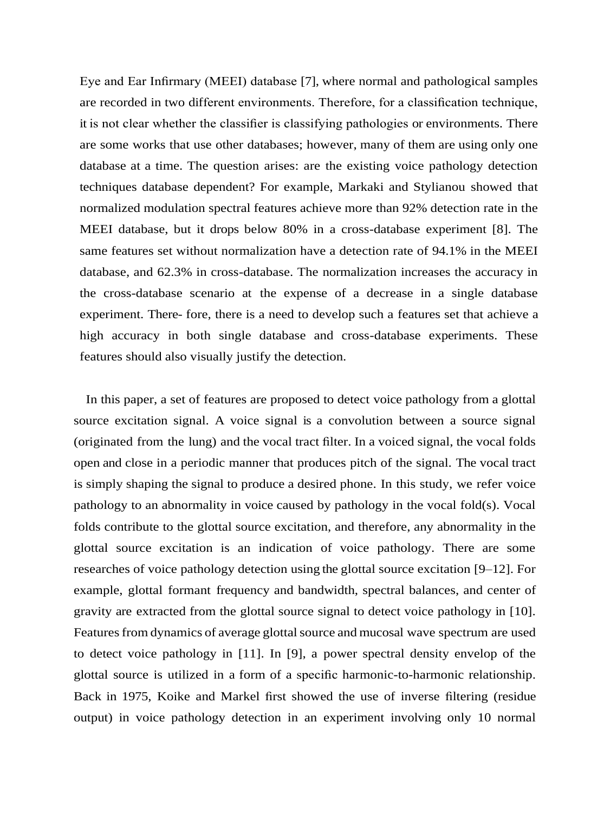<span id="page-2-1"></span>Eye and Ear Infirmary (MEEI) database [7], where normal and pathological samples are recorded in two different environments. Therefore, for a classification technique, it is not clear whether the classifier is classifying pathologies or environments. There are some works that use other databases; however, many of them are using only one database at a time. The question arises: are the existing voice pathology detection techniques database dependent? For example, Markaki and Stylianou showed that normalized modulation spectral features achieve more than 92% detection rate in the MEEI database, but it drops below 80% in a cross-database experiment [8]. The same features set without normalization have a detection rate of 94.1% in the MEEI database, and 62.3% in cross-database. The normalization increases the accuracy in the cross-database scenario at the expense of a decrease in a single database experiment. There- fore, there is a need to develop such a features set that achieve a high accuracy in both single database and cross-database experiments. These features should also visually justify the detection.

<span id="page-2-0"></span>In this paper, a set of features are proposed to detect voice pathology from a glottal source excitation signal. A voice signal is a convolution between a source signal (originated from the lung) and the vocal tract filter. In a voiced signal, the vocal folds open and close in a periodic manner that produces pitch of the signal. The vocal tract is simply shaping the signal to produce a desired phone. In this study, we refer voice pathology to an abnormality in voice caused by pathology in the vocal fold(s). Vocal folds contribute to the glottal source excitation, and therefore, any abnormality in the glottal source excitation is an indication of voice pathology. There are some researches of voice pathology detection using the glottal source excitation [9–12]. For example, glottal formant frequency and bandwidth, spectral balances, and center of gravity are extracted from the glottal source signal to detect voice pathology in [10]. Features from dynamics of average glottal source and mucosal wave spectrum are used to detect voice pathology in [11]. In [9], a power spectral density envelop of the glottal source is utilized in a form of a specific harmonic-to-harmonic relationship. Back in 1975, Koike and Markel first showed the use of inverse filtering (residue output) in voice pathology detection in an experiment involving only 10 normal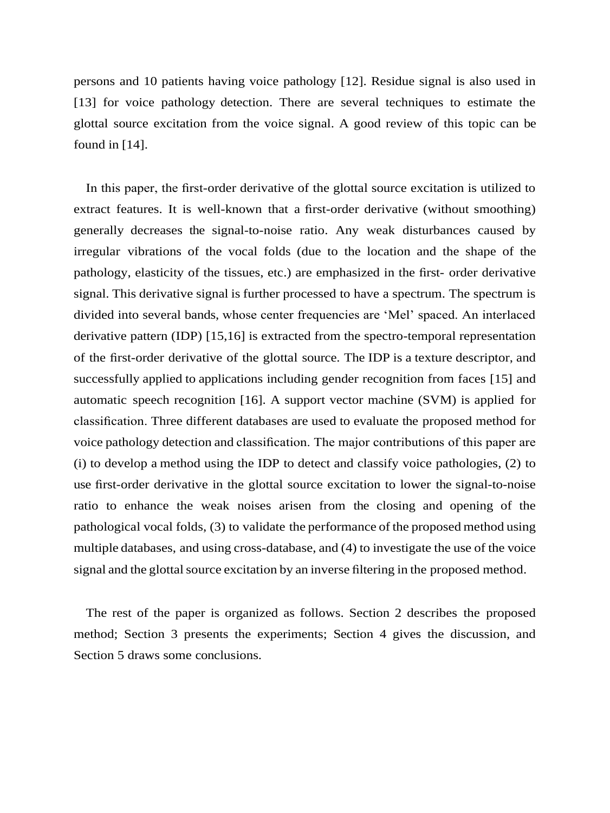persons and 10 patients having voice pathology [12]. Residue signal is also used in [13] for voice pathology detection. There are several techniques to estimate the glottal source excitation from the voice signal. A good review of this topic can be found in [\[14\].](#page-23-2)

In this paper, the first-order derivative of the glottal source excitation is utilized to extract features. It is well-known that a first-order derivative (without smoothing) generally decreases the signal-to-noise ratio. Any weak disturbances caused by irregular vibrations of the vocal folds (due to the location and the shape of the pathology, elasticity of the tissues, etc.) are emphasized in the first- order derivative signal. This derivative signal is further processed to have a spectrum. The spectrum is divided into several bands, whose center frequencies are 'Mel' spaced. An interlaced derivative pattern (IDP) [\[15,16\] i](#page-23-3)s extracted from the spectro-temporal representation of the first-order derivative of the glottal source. The IDP is a texture descriptor, and successfully applied to applications including gender recognition from faces [\[15\] a](#page-23-3)nd automatic speech recognition [\[16\].](#page-23-4) A support vector machine (SVM) is applied for classification. Three different databases are used to evaluate the proposed method for voice pathology detection and classification. The major contributions of this paper are (i) to develop a method using the IDP to detect and classify voice pathologies, (2) to use first-order derivative in the glottal source excitation to lower the signal-to-noise ratio to enhance the weak noises arisen from the closing and opening of the pathological vocal folds, (3) to validate the performance of the proposed method using multiple databases, and using cross-database, and (4) to investigate the use of the voice signal and the glottal source excitation by an inverse filtering in the proposed method.

The rest of the paper is organized as follows. Section [2](#page-2-0) describes the proposed method; Section [3](#page-11-0) presents the experiments; Section 4 gives the discussion, and Section 5 draws some conclusions.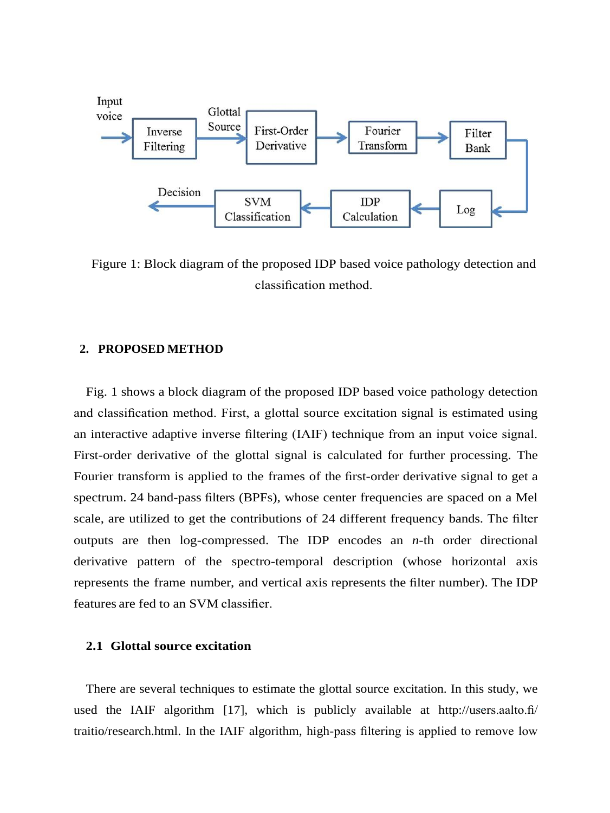

Figure 1: Block diagram of the proposed IDP based voice pathology detection and classification method.

#### **2. PROPOSED METHOD**

[Fig.](#page-2-1) 1 shows a block diagram of the proposed IDP based voice pathology detection and classification method. First, a glottal source excitation signal is estimated using an interactive adaptive inverse filtering (IAIF) technique from an input voice signal. First-order derivative of the glottal signal is calculated for further processing. The Fourier transform is applied to the frames of the first-order derivative signal to get a spectrum. 24 band-pass filters (BPFs), whose center frequencies are spaced on a Mel scale, are utilized to get the contributions of 24 different frequency bands. The filter outputs are then log-compressed. The IDP encodes an *n*-th order directional derivative pattern of the spectro-temporal description (whose horizontal axis represents the frame number, and vertical axis represents the filter number). The IDP features are fed to an SVM classifier.

## **2.1 Glottal source excitation**

∼ used the IAIF algorithm [\[17\],](#page-23-5) which is publicly available at [http://users.aalto.fi/](http://users.aalto.fi/~traitio/research.html) There are several techniques to estimate the glottal source excitation. In this study, we [traitio/research.html.](http://users.aalto.fi/~traitio/research.html) In the IAIF algorithm, high-pass filtering is applied to remove low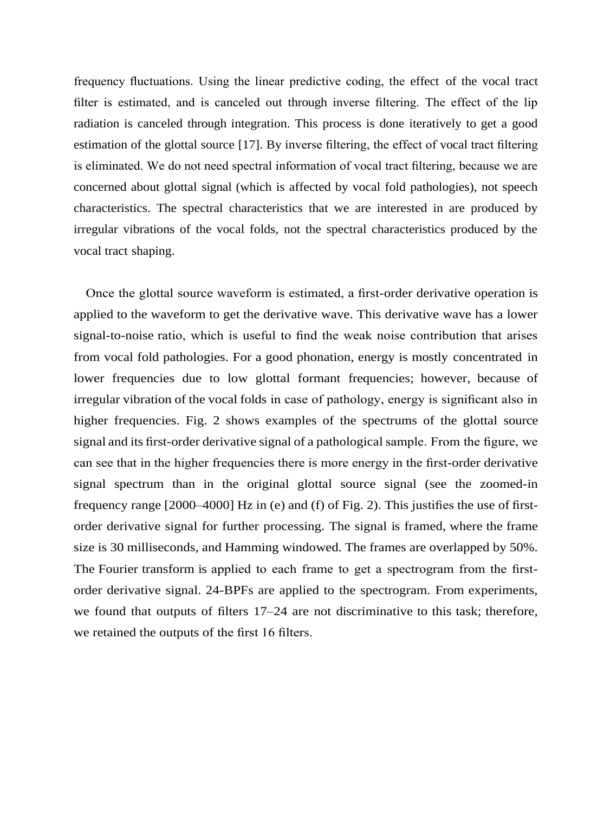frequency fluctuations. Using the linear predictive coding, the effect of the vocal tract filter is estimated, and is canceled out through inverse filtering. The effect of the lip radiation is canceled through integration. This process is done iteratively to get a good estimation of the glottal source [\[17\]. B](#page-23-5)y inverse filtering, the effect of vocal tract filtering is eliminated. We do not need spectral information of vocal tract filtering, because we are concerned about glottal signal (which is affected by vocal fold pathologies), not speech characteristics. The spectral characteristics that we are interested in are produced by irregular vibrations of the vocal folds, not the spectral characteristics produced by the vocal tract shaping.

Once the glottal source waveform is estimated, a first-order derivative operation is applied to the waveform to get the derivative wave. This derivative wave has a lower signal-to-noise ratio, which is useful to find the weak noise contribution that arises from vocal fold pathologies. For a good phonation, energy is mostly concentrated in lower frequencies due to low glottal formant frequencies; however, because of irregular vibration of the vocal folds in case of pathology, energy is significant also in higher frequencies. [Fig. 2 s](#page-6-0)hows examples of the spectrums of the glottal source signal and its first-order derivative signal of a pathological sample. From the figure, we can see that in the higher frequencies there is more energy in the first-order derivative signal spectrum than in the original glottal source signal (see the zoomed-in frequency range [2000–4000] Hz in (e) and (f) of [Fig.](#page-6-0) 2). This justifies the use of firstorder derivative signal for further processing. The signal is framed, where the frame size is 30 milliseconds, and Hamming windowed. The frames are overlapped by 50%. The Fourier transform is applied to each frame to get a spectrogram from the firstorder derivative signal. 24-BPFs are applied to the spectrogram. From experiments, we found that outputs of filters 17–24 are not discriminative to this task; therefore, we retained the outputs of the first 16 filters.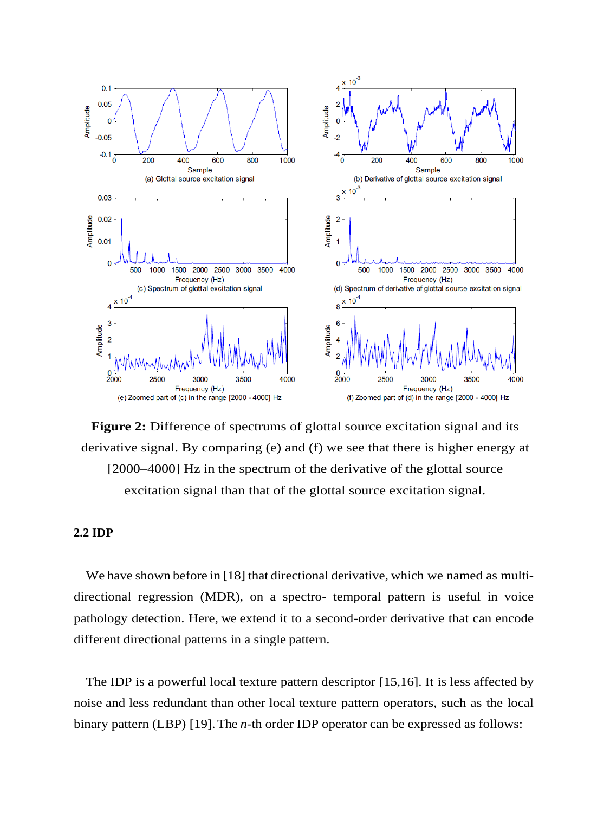<span id="page-6-0"></span>

**Figure 2:** Difference of spectrums of glottal source excitation signal and its derivative signal. By comparing (e) and (f) we see that there is higher energy at [2000–4000] Hz in the spectrum of the derivative of the glottal source excitation signal than that of the glottal source excitation signal.

## **2.2 IDP**

We have shown before in [\[18\]](#page-23-6) that directional derivative, which we named as multidirectional regression (MDR), on a spectro- temporal pattern is useful in voice pathology detection. Here, we extend it to a second-order derivative that can encode different directional patterns in a single pattern.

The IDP is a powerful local texture pattern descriptor [\[15,16\].](#page-23-3) It is less affected by noise and less redundant than other local texture pattern operators, such as the local binary pattern (LBP) [\[19\].T](#page-23-7)he *n*-th order IDP operator can be expressed as follows: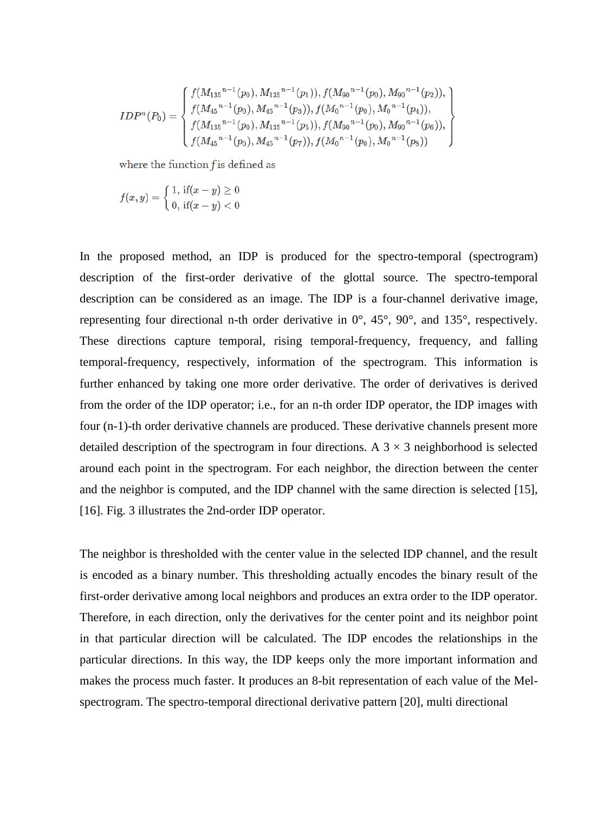$$
IDP^n(P_0)=\begin{cases} f(M_{135}{}^{n-1}(p_0),M_{135}{}^{n-1}(p_1)),f(M_{90}{}^{n-1}(p_0),M_{90}{}^{n-1}(p_2)),\\ f(M_{45}{}^{n-1}(p_0),M_{45}{}^{n-1}(p_3)),f(M_0{}^{n-1}(p_0),M_0{}^{n-1}(p_4)),\\ f(M_{135}{}^{n-1}(p_0),M_{135}{}^{n-1}(p_5)),f(M_{90}{}^{n-1}(p_0),M_{90}{}^{n-1}(p_6)),\\ f(M_{45}{}^{n-1}(p_0),M_{45}{}^{n-1}(p_7)),f(M_0{}^{n-1}(p_0),M_0{}^{n-1}(p_8))\end{cases}
$$

where the function f is defined as

 $f(x,y) = \begin{cases} 1, \text{ if}(x-y) \geq 0 \ 0, \text{ if}(x-y) < 0 \end{cases}$ 

In the proposed method, an IDP is produced for the spectro-temporal (spectrogram) description of the first-order derivative of the glottal source. The spectro-temporal description can be considered as an image. The IDP is a four-channel derivative image, representing four directional n-th order derivative in 0°, 45°, 90°, and 135°, respectively. These directions capture temporal, rising temporal-frequency, frequency, and falling temporal-frequency, respectively, information of the spectrogram. This information is further enhanced by taking one more order derivative. The order of derivatives is derived from the order of the IDP operator; i.e., for an n-th order IDP operator, the IDP images with four (n-1)-th order derivative channels are produced. These derivative channels present more detailed description of the spectrogram in four directions. A  $3 \times 3$  neighborhood is selected around each point in the spectrogram. For each neighbor, the direction between the center and the neighbor is computed, and the IDP channel with the same direction is selected [15], [16]. Fig. 3 illustrates the 2nd-order IDP operator.

The neighbor is thresholded with the center value in the selected IDP channel, and the result is encoded as a binary number. This thresholding actually encodes the binary result of the first-order derivative among local neighbors and produces an extra order to the IDP operator. Therefore, in each direction, only the derivatives for the center point and its neighbor point in that particular direction will be calculated. The IDP encodes the relationships in the particular directions. In this way, the IDP keeps only the more important information and makes the process much faster. It produces an 8-bit representation of each value of the Melspectrogram. The spectro-temporal directional derivative pattern [20], multi directional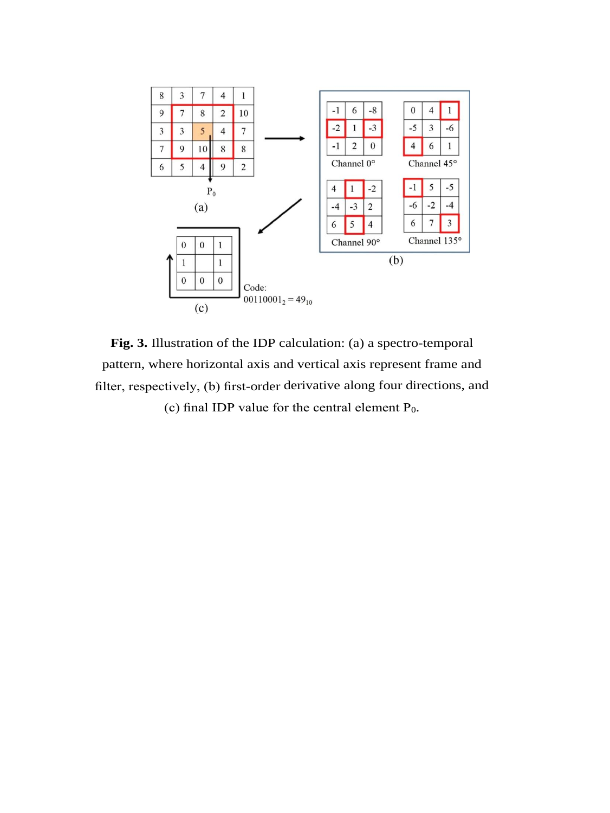

<span id="page-8-0"></span>**Fig. 3.** Illustration of the IDP calculation: (a) a spectro-temporal pattern, where horizontal axis and vertical axis represent frame and filter, respectively, (b) first-order derivative along four directions, and (c) final IDP value for the central element P0.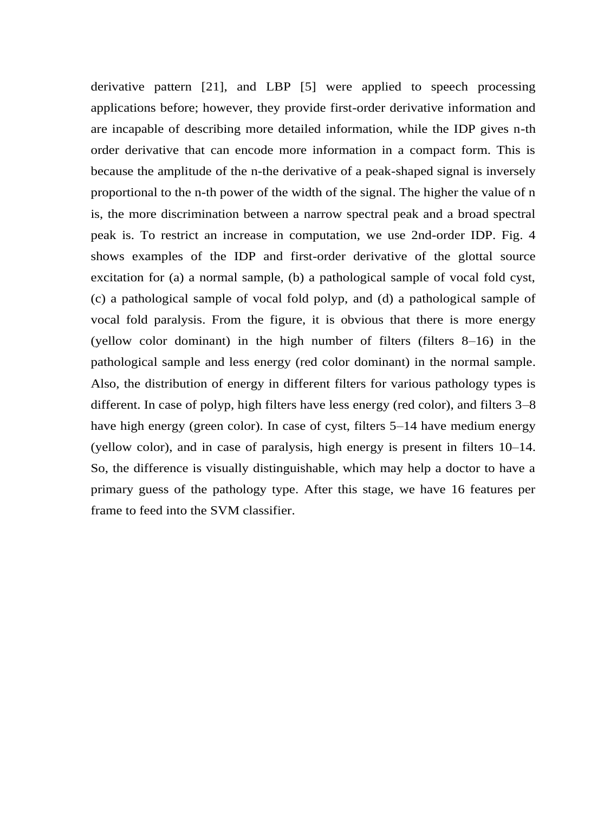derivative pattern [21], and LBP [5] were applied to speech processing applications before; however, they provide first-order derivative information and are incapable of describing more detailed information, while the IDP gives n-th order derivative that can encode more information in a compact form. This is because the amplitude of the n-the derivative of a peak-shaped signal is inversely proportional to the n-th power of the width of the signal. The higher the value of n is, the more discrimination between a narrow spectral peak and a broad spectral peak is. To restrict an increase in computation, we use 2nd-order IDP. Fig. 4 shows examples of the IDP and first-order derivative of the glottal source excitation for (a) a normal sample, (b) a pathological sample of vocal fold cyst, (c) a pathological sample of vocal fold polyp, and (d) a pathological sample of vocal fold paralysis. From the figure, it is obvious that there is more energy (yellow color dominant) in the high number of filters (filters 8–16) in the pathological sample and less energy (red color dominant) in the normal sample. Also, the distribution of energy in different filters for various pathology types is different. In case of polyp, high filters have less energy (red color), and filters 3–8 have high energy (green color). In case of cyst, filters 5–14 have medium energy (yellow color), and in case of paralysis, high energy is present in filters 10–14. So, the difference is visually distinguishable, which may help a doctor to have a primary guess of the pathology type. After this stage, we have 16 features per frame to feed into the SVM classifier.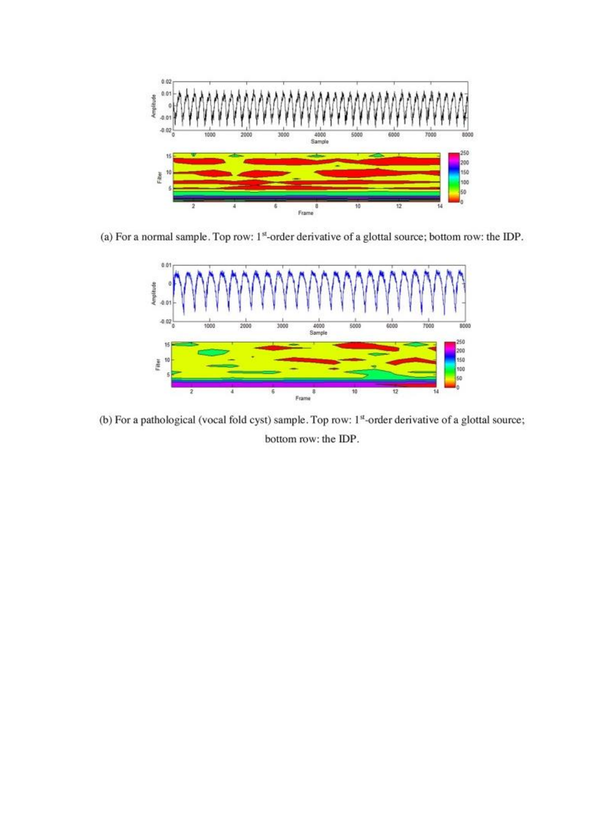

(a) For a normal sample. Top row:  $1<sup>st</sup>$ -order derivative of a glottal source; bottom row: the IDP.



(b) For a pathological (vocal fold cyst) sample. Top row: 1st-order derivative of a glottal source; bottom row: the IDP.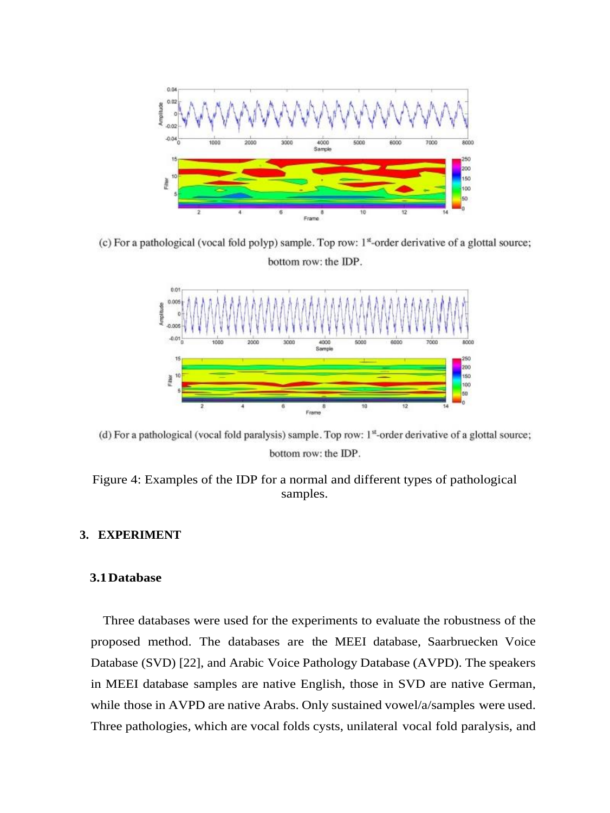

(c) For a pathological (vocal fold polyp) sample. Top row: 1<sup>st</sup>-order derivative of a glottal source; bottom row: the IDP.



(d) For a pathological (vocal fold paralysis) sample. Top row:  $1<sup>st</sup>$ -order derivative of a glottal source; bottom row: the IDP.



## <span id="page-11-0"></span>**3. EXPERIMENT**

## **3.1Database**

Three databases were used for the experiments to evaluate the robustness of the proposed method. The databases are the MEEI database, Saarbruecken Voice Database (SVD) [\[22\],](#page-23-8) and Arabic Voice Pathology Database (AVPD). The speakers in MEEI database samples are native English, those in SVD are native German, while those in AVPD are native Arabs. Only sustained vowel/a/samples were used. Three pathologies, which are vocal folds cysts, unilateral vocal fold paralysis, and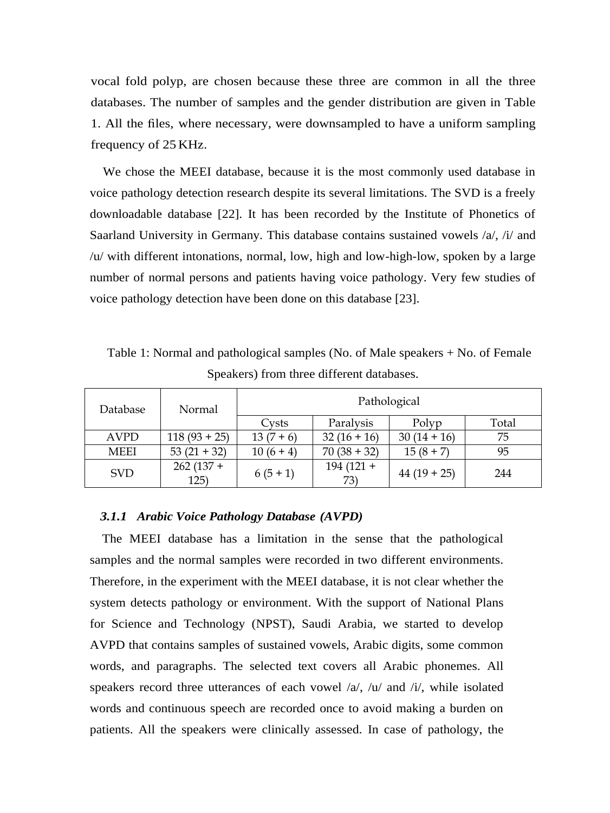vocal fold polyp, are chosen because these three are common in all the three databases. The number of samples and the gender distribution are given in [Table](#page-8-0) [1.](#page-8-0) All the files, where necessary, were downsampled to have a uniform sampling frequency of 25 KHz.

We chose the MEEI database, because it is the most commonly used database in voice pathology detection research despite its several limitations. The SVD is a freely downloadable database [22]. It has been recorded by the Institute of Phonetics of Saarland University in Germany. This database contains sustained vowels /a/, /i/ and /u/ with different intonations, normal, low, high and low-high-low, spoken by a large number of normal persons and patients having voice pathology. Very few studies of voice pathology detection have been done on this database [23].

Table 1: Normal and pathological samples (No. of Male speakers + No. of Female Speakers) from three different databases.

| Database    | Normal              | Pathological |                    |             |       |  |  |
|-------------|---------------------|--------------|--------------------|-------------|-------|--|--|
|             |                     | Cysts        | Paralysis          | Polyp       | Total |  |  |
| <b>AVPD</b> | $118(93 + 25)$      | $13(7+6)$    | $32(16+16)$        | $30(14+16)$ | 75    |  |  |
| <b>MEEI</b> | $53(21+32)$         | $10(6 + 4)$  | $70(38 + 32)$      | $15(8+7)$   | 95    |  |  |
| <b>SVD</b>  | $262(137 +$<br>125) | $6(5+1)$     | $194(121 +$<br>73) | $44(19+25)$ | 244   |  |  |

#### *3.1.1 Arabic Voice Pathology Database (AVPD)*

The MEEI database has a limitation in the sense that the pathological samples and the normal samples were recorded in two different environments. Therefore, in the experiment with the MEEI database, it is not clear whether the system detects pathology or environment. With the support of National Plans for Science and Technology (NPST), Saudi Arabia, we started to develop AVPD that contains samples of sustained vowels, Arabic digits, some common words, and paragraphs. The selected text covers all Arabic phonemes. All speakers record three utterances of each vowel  $\alpha$ ,  $\alpha$ ,  $\alpha$  and  $\alpha$ , while isolated words and continuous speech are recorded once to avoid making a burden on patients. All the speakers were clinically assessed. In case of pathology, the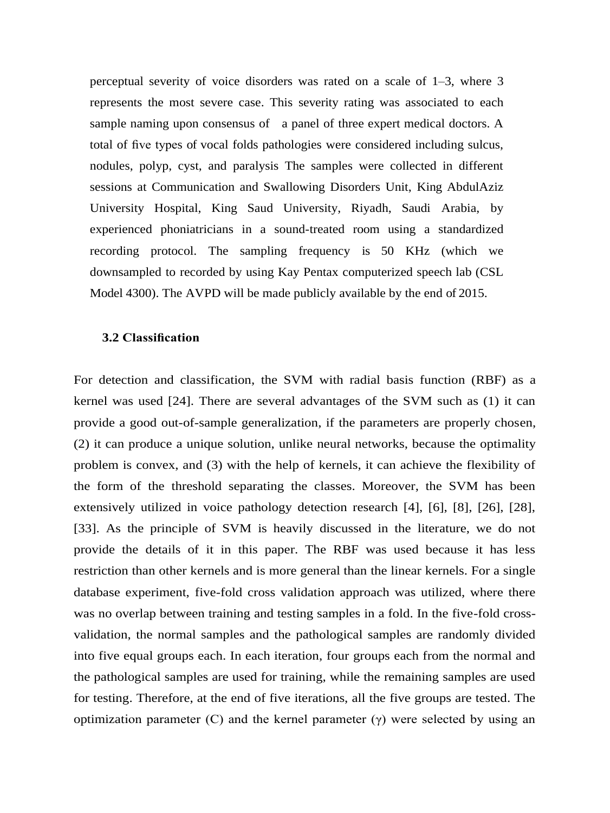perceptual severity of voice disorders was rated on a scale of 1–3, where 3 represents the most severe case. This severity rating was associated to each sample naming upon consensus of a panel of three expert medical doctors. A total of five types of vocal folds pathologies were considered including sulcus, nodules, polyp, cyst, and paralysis The samples were collected in different sessions at Communication and Swallowing Disorders Unit, King AbdulAziz University Hospital, King Saud University, Riyadh, Saudi Arabia, by experienced phoniatricians in a sound-treated room using a standardized recording protocol. The sampling frequency is 50 KHz (which we downsampled to recorded by using Kay Pentax computerized speech lab (CSL Model 4300). The AVPD will be made publicly available by the end of 2015.

#### **3.2 Classification**

For detection and classification, the SVM with radial basis function (RBF) as a kernel was used [24]. There are several advantages of the SVM such as (1) it can provide a good out-of-sample generalization, if the parameters are properly chosen, (2) it can produce a unique solution, unlike neural networks, because the optimality problem is convex, and (3) with the help of kernels, it can achieve the flexibility of the form of the threshold separating the classes. Moreover, the SVM has been extensively utilized in voice pathology detection research [4], [6], [8], [26], [28], [33]. As the principle of SVM is heavily discussed in the literature, we do not provide the details of it in this paper. The RBF was used because it has less restriction than other kernels and is more general than the linear kernels. For a single database experiment, five-fold cross validation approach was utilized, where there was no overlap between training and testing samples in a fold. In the five-fold crossvalidation, the normal samples and the pathological samples are randomly divided into five equal groups each. In each iteration, four groups each from the normal and the pathological samples are used for training, while the remaining samples are used for testing. Therefore, at the end of five iterations, all the five groups are tested. The optimization parameter (C) and the kernel parameter  $(\gamma)$  were selected by using an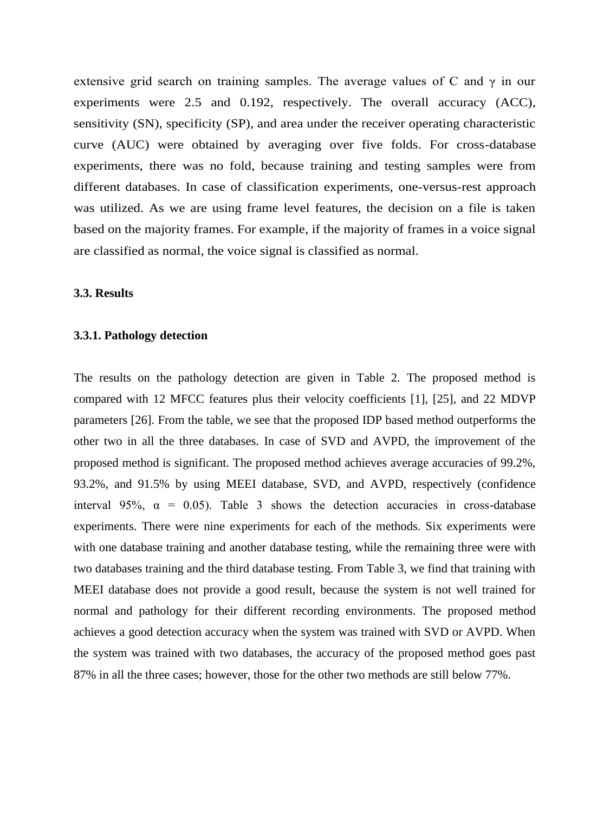extensive grid search on training samples. The average values of C and  $\gamma$  in our experiments were 2.5 and 0.192, respectively. The overall accuracy (ACC), sensitivity (SN), specificity (SP), and area under the receiver operating characteristic curve (AUC) were obtained by averaging over five folds. For cross-database experiments, there was no fold, because training and testing samples were from different databases. In case of classification experiments, one-versus-rest approach was utilized. As we are using frame level features, the decision on a file is taken based on the majority frames. For example, if the majority of frames in a voice signal are classified as normal, the voice signal is classified as normal.

## **3.3. Results**

#### **3.3.1. Pathology detection**

The results on the pathology detection are given in Table 2. The proposed method is compared with 12 MFCC features plus their velocity coefficients [1], [25], and 22 MDVP parameters [26]. From the table, we see that the proposed IDP based method outperforms the other two in all the three databases. In case of SVD and AVPD, the improvement of the proposed method is significant. The proposed method achieves average accuracies of 99.2%, 93.2%, and 91.5% by using MEEI database, SVD, and AVPD, respectively (confidence interval 95%,  $\alpha = 0.05$ ). Table 3 shows the detection accuracies in cross-database experiments. There were nine experiments for each of the methods. Six experiments were with one database training and another database testing, while the remaining three were with two databases training and the third database testing. From Table 3, we find that training with MEEI database does not provide a good result, because the system is not well trained for normal and pathology for their different recording environments. The proposed method achieves a good detection accuracy when the system was trained with SVD or AVPD. When the system was trained with two databases, the accuracy of the proposed method goes past 87% in all the three cases; however, those for the other two methods are still below 77%.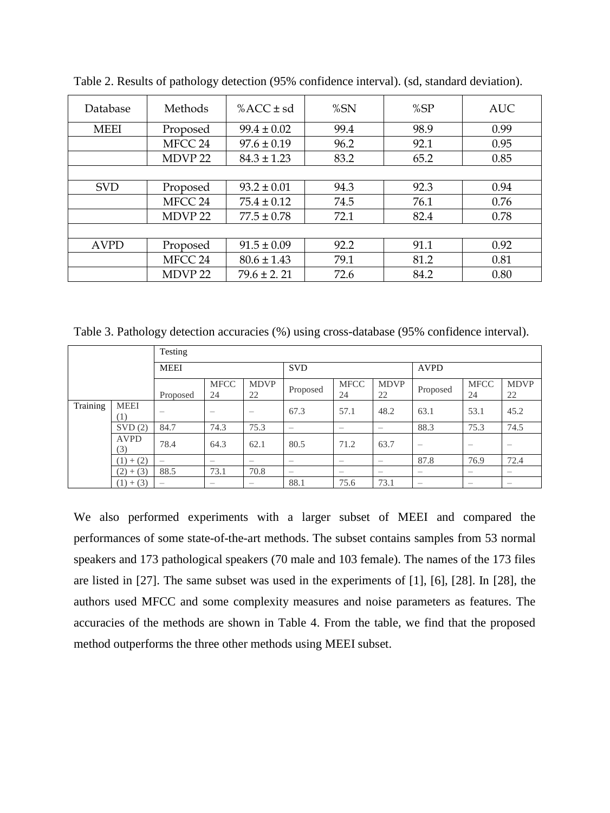| Database    | Methods            | % $ACC \pm sd$  | %SN  | %SP  | <b>AUC</b> |
|-------------|--------------------|-----------------|------|------|------------|
| <b>MEEI</b> | Proposed           | $99.4 \pm 0.02$ | 99.4 | 98.9 | 0.99       |
|             | MFCC 24            | $97.6 \pm 0.19$ | 96.2 | 92.1 | 0.95       |
|             | MDVP <sub>22</sub> | $84.3 \pm 1.23$ | 83.2 | 65.2 | 0.85       |
|             |                    |                 |      |      |            |
| <b>SVD</b>  | Proposed           | $93.2 \pm 0.01$ | 94.3 | 92.3 | 0.94       |
|             | MFCC 24            | $75.4 \pm 0.12$ | 74.5 | 76.1 | 0.76       |
|             | MDVP <sub>22</sub> | $77.5 \pm 0.78$ | 72.1 | 82.4 | 0.78       |
|             |                    |                 |      |      |            |
| <b>AVPD</b> | Proposed           | $91.5 \pm 0.09$ | 92.2 | 91.1 | 0.92       |
|             | MFCC 24            | $80.6 \pm 1.43$ | 79.1 | 81.2 | 0.81       |
|             | MDVP <sub>22</sub> | $79.6 \pm 2.21$ | 72.6 | 84.2 | 0.80       |

Table 2. Results of pathology detection (95% confidence interval). (sd, standard deviation).

Table 3. Pathology detection accuracies (%) using cross-database (95% confidence interval).

|          |                    | Testing                  |                          |                          |                          |                          |                          |                          |                   |                          |
|----------|--------------------|--------------------------|--------------------------|--------------------------|--------------------------|--------------------------|--------------------------|--------------------------|-------------------|--------------------------|
|          |                    | <b>MEEI</b>              |                          | <b>SVD</b>               |                          |                          | <b>AVPD</b>              |                          |                   |                          |
|          |                    | Proposed                 | <b>MFCC</b><br>24        | <b>MDVP</b><br>22        | Proposed                 | <b>MFCC</b><br>24        | <b>MDVP</b><br>22        | Proposed                 | <b>MFCC</b><br>24 | <b>MDVP</b><br>22        |
| Training | <b>MEEI</b><br>(1) |                          | $\overline{\phantom{0}}$ | $\overline{\phantom{0}}$ | 67.3                     | 57.1                     | 48.2                     | 63.1                     | 53.1              | 45.2                     |
|          | SVD(2)             | 84.7                     | 74.3                     | 75.3                     | $\overline{\phantom{0}}$ |                          | $\overline{\phantom{0}}$ | 88.3                     | 75.3              | 74.5                     |
|          | <b>AVPD</b><br>(3) | 78.4                     | 64.3                     | 62.1                     | 80.5                     | 71.2                     | 63.7                     | $\overline{\phantom{0}}$ |                   | $\overline{\phantom{0}}$ |
|          | $(1) + (2)$        | $\overline{\phantom{m}}$ | $\overline{\phantom{0}}$ |                          |                          |                          | $\overline{\phantom{0}}$ | 87.8                     | 76.9              | 72.4                     |
|          | $(2)+(3)$          | 88.5                     | 73.1                     | 70.8                     | $\overline{\phantom{0}}$ | $\overline{\phantom{0}}$ | $\overline{\phantom{0}}$ | $\overline{\phantom{0}}$ | –                 | $\overline{\phantom{0}}$ |
|          | $(1) + (3)$        | $\overline{\phantom{0}}$ | $\overline{\phantom{0}}$ | $\overline{\phantom{0}}$ | 88.1                     | 75.6                     | 73.1                     | $\overline{\phantom{0}}$ | –                 | $\overline{\phantom{0}}$ |

We also performed experiments with a larger subset of MEEI and compared the performances of some state-of-the-art methods. The subset contains samples from 53 normal speakers and 173 pathological speakers (70 male and 103 female). The names of the 173 files are listed in [27]. The same subset was used in the experiments of [1], [6], [28]. In [28], the authors used MFCC and some complexity measures and noise parameters as features. The accuracies of the methods are shown in Table 4. From the table, we find that the proposed method outperforms the three other methods using MEEI subset.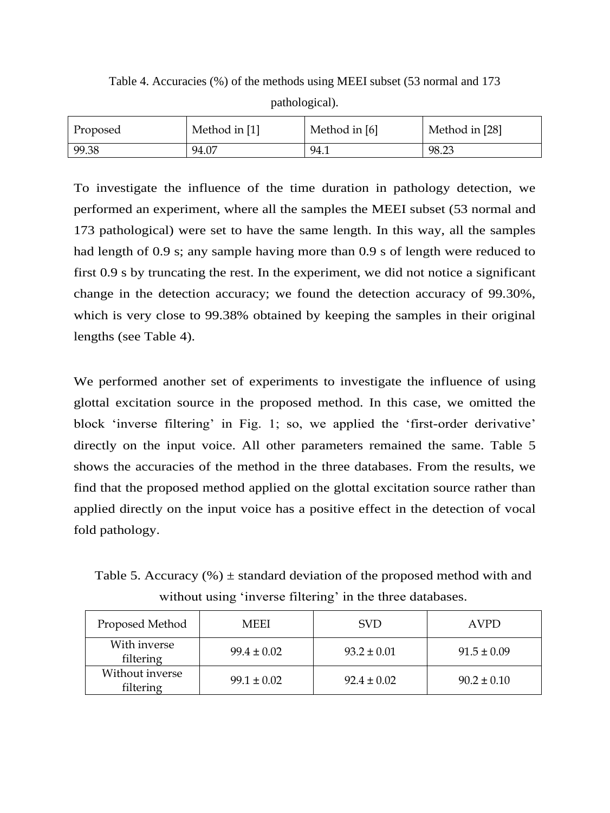Table 4. Accuracies (%) of the methods using MEEI subset (53 normal and 173 pathological).

| <b>Proposed</b> | Method in [1] | Method in [6] | Method in [28] |
|-----------------|---------------|---------------|----------------|
| 99.38           | 94.07         | 94.1          | 98.23          |

To investigate the influence of the time duration in pathology detection, we performed an experiment, where all the samples the MEEI subset (53 normal and 173 pathological) were set to have the same length. In this way, all the samples had length of 0.9 s; any sample having more than 0.9 s of length were reduced to first 0.9 s by truncating the rest. In the experiment, we did not notice a significant change in the detection accuracy; we found the detection accuracy of 99.30%, which is very close to 99.38% obtained by keeping the samples in their original lengths (see Table 4).

We performed another set of experiments to investigate the influence of using glottal excitation source in the proposed method. In this case, we omitted the block 'inverse filtering' in Fig. 1; so, we applied the 'first-order derivative' directly on the input voice. All other parameters remained the same. Table 5 shows the accuracies of the method in the three databases. From the results, we find that the proposed method applied on the glottal excitation source rather than applied directly on the input voice has a positive effect in the detection of vocal fold pathology.

Table 5. Accuracy  $(\%)$  ± standard deviation of the proposed method with and without using 'inverse filtering' in the three databases.

| Proposed Method              | <b>MEEI</b>     | <b>SVD</b>      | <b>AVPD</b>     |  |
|------------------------------|-----------------|-----------------|-----------------|--|
| With inverse<br>filtering    | $99.4 \pm 0.02$ | $93.2 \pm 0.01$ | $91.5 \pm 0.09$ |  |
| Without inverse<br>filtering | $99.1 \pm 0.02$ | $92.4 \pm 0.02$ | $90.2 \pm 0.10$ |  |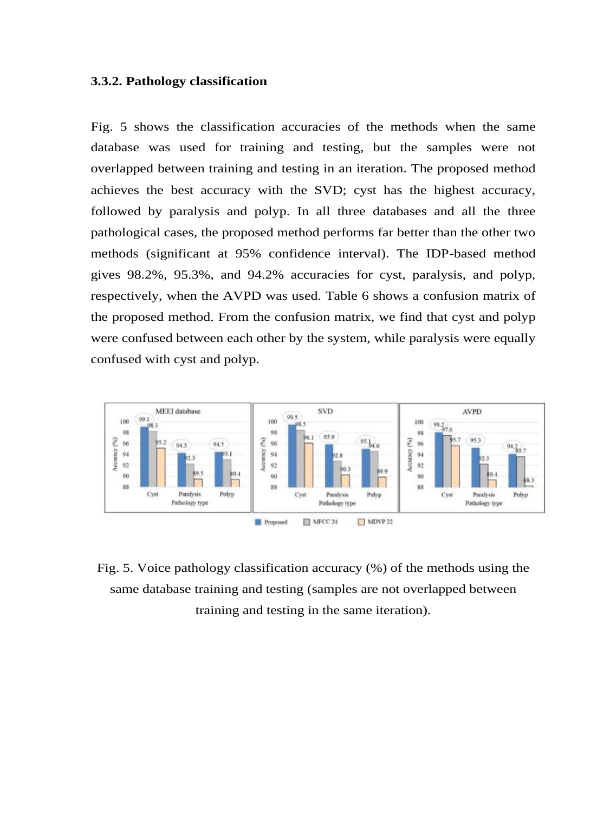### **3.3.2. Pathology classification**

Fig. 5 shows the classification accuracies of the methods when the same database was used for training and testing, but the samples were not overlapped between training and testing in an iteration. The proposed method achieves the best accuracy with the SVD; cyst has the highest accuracy, followed by paralysis and polyp. In all three databases and all the three pathological cases, the proposed method performs far better than the other two methods (significant at 95% confidence interval). The IDP-based method gives 98.2%, 95.3%, and 94.2% accuracies for cyst, paralysis, and polyp, respectively, when the AVPD was used. Table 6 shows a confusion matrix of the proposed method. From the confusion matrix, we find that cyst and polyp were confused between each other by the system, while paralysis were equally confused with cyst and polyp.



Fig. 5. Voice pathology classification accuracy (%) of the methods using the same database training and testing (samples are not overlapped between training and testing in the same iteration).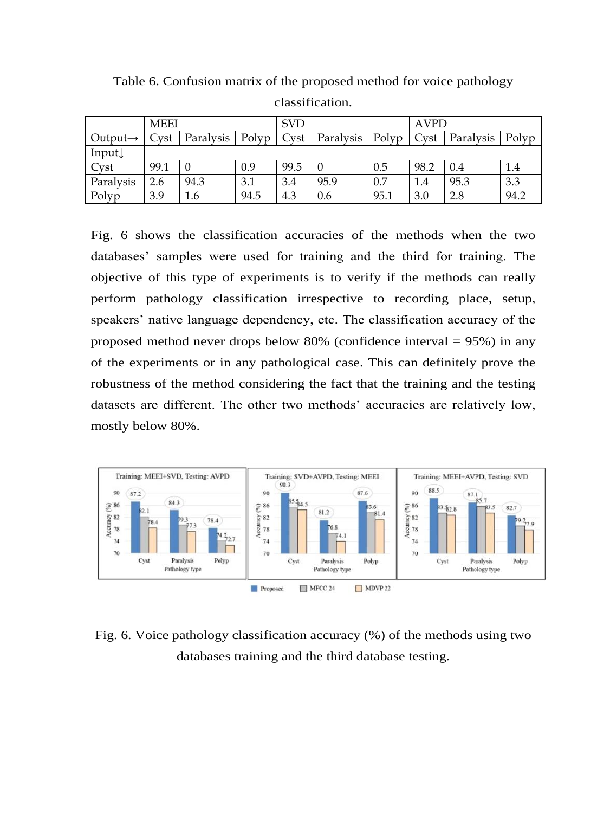|                      | <b>MEEI</b> |           |       | <b>SVD</b> |           |       | <b>AVPD</b> |           |       |
|----------------------|-------------|-----------|-------|------------|-----------|-------|-------------|-----------|-------|
| Output $\rightarrow$ | Cyst        | Paralysis | Polyp | Cyst       | Paralysis | Polyp | Cyst        | Paralysis | Polyp |
| Input $\downarrow$   |             |           |       |            |           |       |             |           |       |
| Cyst                 | 99.1        |           | 0.9   | 99.5       | $\cup$    | 0.5   | 98.2        | 0.4       | 1.4   |
| Paralysis            | 2.6         | 94.3      | 3.1   | 3.4        | 95.9      | 0.7   | 1.4         | 95.3      | 3.3   |
| Polyp                | 3.9         | 1.6       | 94.5  | 4.3        | 0.6       | 95.1  | 3.0         | 2.8       | 94.2  |

Table 6. Confusion matrix of the proposed method for voice pathology classification.

Fig. 6 shows the classification accuracies of the methods when the two databases' samples were used for training and the third for training. The objective of this type of experiments is to verify if the methods can really perform pathology classification irrespective to recording place, setup, speakers' native language dependency, etc. The classification accuracy of the proposed method never drops below 80% (confidence interval = 95%) in any of the experiments or in any pathological case. This can definitely prove the robustness of the method considering the fact that the training and the testing datasets are different. The other two methods' accuracies are relatively low, mostly below 80%.



Fig. 6. Voice pathology classification accuracy (%) of the methods using two databases training and the third database testing.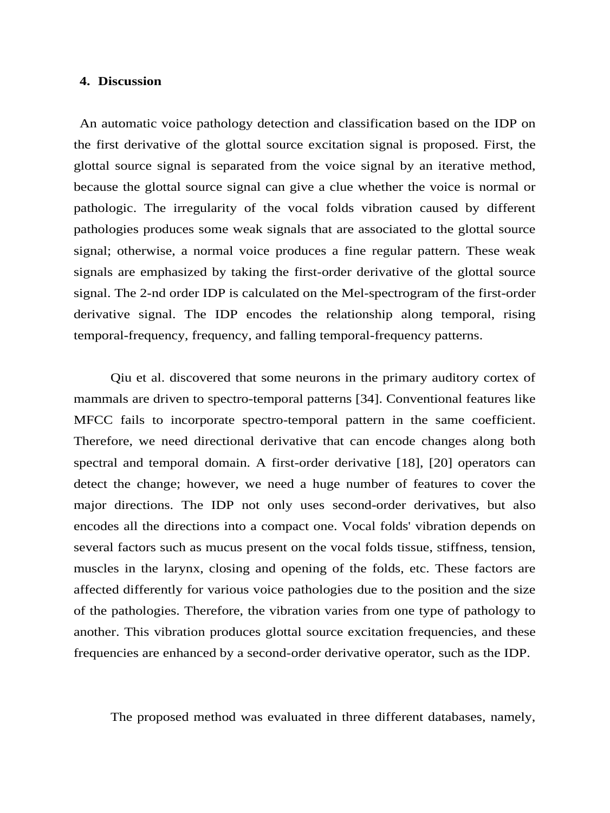#### **4. Discussion**

An automatic voice pathology detection and classification based on the IDP on the first derivative of the glottal source excitation signal is proposed. First, the glottal source signal is separated from the voice signal by an iterative method, because the glottal source signal can give a clue whether the voice is normal or pathologic. The irregularity of the vocal folds vibration caused by different pathologies produces some weak signals that are associated to the glottal source signal; otherwise, a normal voice produces a fine regular pattern. These weak signals are emphasized by taking the first-order derivative of the glottal source signal. The 2-nd order IDP is calculated on the Mel-spectrogram of the first-order derivative signal. The IDP encodes the relationship along temporal, rising temporal-frequency, frequency, and falling temporal-frequency patterns.

Qiu et al. discovered that some neurons in the primary auditory cortex of mammals are driven to spectro-temporal patterns [34]. Conventional features like MFCC fails to incorporate spectro-temporal pattern in the same coefficient. Therefore, we need directional derivative that can encode changes along both spectral and temporal domain. A first-order derivative [18], [20] operators can detect the change; however, we need a huge number of features to cover the major directions. The IDP not only uses second-order derivatives, but also encodes all the directions into a compact one. Vocal folds' vibration depends on several factors such as mucus present on the vocal folds tissue, stiffness, tension, muscles in the larynx, closing and opening of the folds, etc. These factors are affected differently for various voice pathologies due to the position and the size of the pathologies. Therefore, the vibration varies from one type of pathology to another. This vibration produces glottal source excitation frequencies, and these frequencies are enhanced by a second-order derivative operator, such as the IDP.

The proposed method was evaluated in three different databases, namely,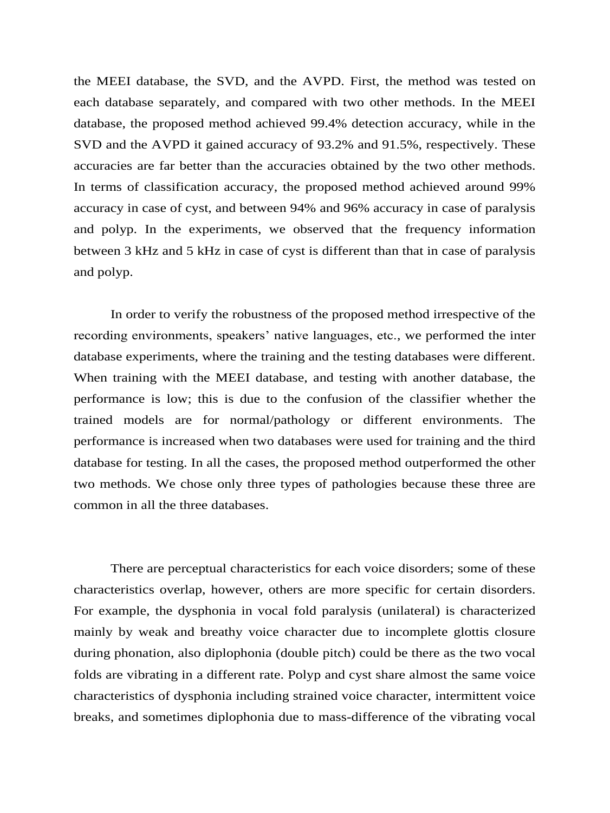the MEEI database, the SVD, and the AVPD. First, the method was tested on each database separately, and compared with two other methods. In the MEEI database, the proposed method achieved 99.4% detection accuracy, while in the SVD and the AVPD it gained accuracy of 93.2% and 91.5%, respectively. These accuracies are far better than the accuracies obtained by the two other methods. In terms of classification accuracy, the proposed method achieved around 99% accuracy in case of cyst, and between 94% and 96% accuracy in case of paralysis and polyp. In the experiments, we observed that the frequency information between 3 kHz and 5 kHz in case of cyst is different than that in case of paralysis and polyp.

In order to verify the robustness of the proposed method irrespective of the recording environments, speakers' native languages, etc., we performed the inter database experiments, where the training and the testing databases were different. When training with the MEEI database, and testing with another database, the performance is low; this is due to the confusion of the classifier whether the trained models are for normal/pathology or different environments. The performance is increased when two databases were used for training and the third database for testing. In all the cases, the proposed method outperformed the other two methods. We chose only three types of pathologies because these three are common in all the three databases.

There are perceptual characteristics for each voice disorders; some of these characteristics overlap, however, others are more specific for certain disorders. For example, the dysphonia in vocal fold paralysis (unilateral) is characterized mainly by weak and breathy voice character due to incomplete glottis closure during phonation, also diplophonia (double pitch) could be there as the two vocal folds are vibrating in a different rate. Polyp and cyst share almost the same voice characteristics of dysphonia including strained voice character, intermittent voice breaks, and sometimes diplophonia due to mass-difference of the vibrating vocal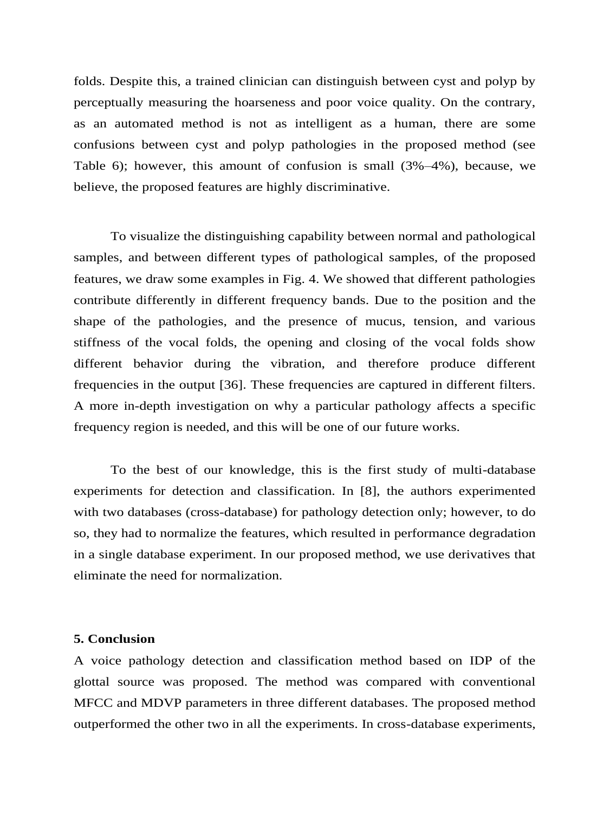folds. Despite this, a trained clinician can distinguish between cyst and polyp by perceptually measuring the hoarseness and poor voice quality. On the contrary, as an automated method is not as intelligent as a human, there are some confusions between cyst and polyp pathologies in the proposed method (see Table 6); however, this amount of confusion is small (3%–4%), because, we believe, the proposed features are highly discriminative.

To visualize the distinguishing capability between normal and pathological samples, and between different types of pathological samples, of the proposed features, we draw some examples in Fig. 4. We showed that different pathologies contribute differently in different frequency bands. Due to the position and the shape of the pathologies, and the presence of mucus, tension, and various stiffness of the vocal folds, the opening and closing of the vocal folds show different behavior during the vibration, and therefore produce different frequencies in the output [36]. These frequencies are captured in different filters. A more in-depth investigation on why a particular pathology affects a specific frequency region is needed, and this will be one of our future works.

To the best of our knowledge, this is the first study of multi-database experiments for detection and classification. In [8], the authors experimented with two databases (cross-database) for pathology detection only; however, to do so, they had to normalize the features, which resulted in performance degradation in a single database experiment. In our proposed method, we use derivatives that eliminate the need for normalization.

#### **5. Conclusion**

A voice pathology detection and classification method based on IDP of the glottal source was proposed. The method was compared with conventional MFCC and MDVP parameters in three different databases. The proposed method outperformed the other two in all the experiments. In cross-database experiments,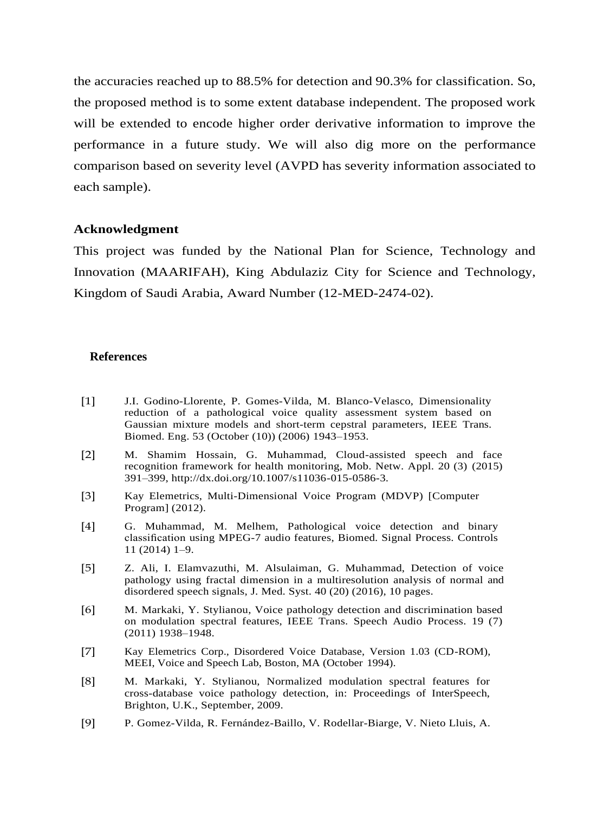the accuracies reached up to 88.5% for detection and 90.3% for classification. So, the proposed method is to some extent database independent. The proposed work will be extended to encode higher order derivative information to improve the performance in a future study. We will also dig more on the performance comparison based on severity level (AVPD has severity information associated to each sample).

#### **Acknowledgment**

This project was funded by the National Plan for Science, Technology and Innovation (MAARIFAH), King Abdulaziz City for Science and Technology, Kingdom of Saudi Arabia, Award Number (12-MED-2474-02).

## **References**

- [1] [J.I. Godino-Llorente, P. Gomes-Vilda, M. Blanco-Velasco, Dimensionality](http://refhub.elsevier.com/S1746-8094(16)30097-0/sbref0005) [reduction of a pathological voice quality assessment system based on](http://refhub.elsevier.com/S1746-8094(16)30097-0/sbref0005) [Gaussian](http://refhub.elsevier.com/S1746-8094(16)30097-0/sbref0005) [mixture](http://refhub.elsevier.com/S1746-8094(16)30097-0/sbref0005) [models](http://refhub.elsevier.com/S1746-8094(16)30097-0/sbref0005) [and](http://refhub.elsevier.com/S1746-8094(16)30097-0/sbref0005) [short-term](http://refhub.elsevier.com/S1746-8094(16)30097-0/sbref0005) [cepstral](http://refhub.elsevier.com/S1746-8094(16)30097-0/sbref0005) [parameters,](http://refhub.elsevier.com/S1746-8094(16)30097-0/sbref0005) [IEEE](http://refhub.elsevier.com/S1746-8094(16)30097-0/sbref0005) [Trans.](http://refhub.elsevier.com/S1746-8094(16)30097-0/sbref0005) [Biomed. Eng. 53 \(October](http://refhub.elsevier.com/S1746-8094(16)30097-0/sbref0005) [\(10\)\) \(2006\)](http://refhub.elsevier.com/S1746-8094(16)30097-0/sbref0005) [1943–1953.](http://refhub.elsevier.com/S1746-8094(16)30097-0/sbref0005)
- [2] M. Shamim Hossain, G. Muhammad, Cloud-assisted speech and face recognition framework for health monitoring, Mob. Netw. Appl. 20 (3) (2015) 391–399, [http://dx.doi.org/10.1007/s11036-015-0586-3.](http://dx.doi.org/10.1007/s11036-015-0586-3)
- [3] Kay Elemetrics, Multi-Dimensional Voice Program (MDVP) [Computer Program] (2012).
- [4] [G. Muhammad, M. Melhem, Pathological voice detection and binary](http://refhub.elsevier.com/S1746-8094(16)30097-0/sbref0020) [classification](http://refhub.elsevier.com/S1746-8094(16)30097-0/sbref0020) [using](http://refhub.elsevier.com/S1746-8094(16)30097-0/sbref0020) [MPEG-7](http://refhub.elsevier.com/S1746-8094(16)30097-0/sbref0020) [audio](http://refhub.elsevier.com/S1746-8094(16)30097-0/sbref0020) [features,](http://refhub.elsevier.com/S1746-8094(16)30097-0/sbref0020) [Biomed.](http://refhub.elsevier.com/S1746-8094(16)30097-0/sbref0020) [Signal](http://refhub.elsevier.com/S1746-8094(16)30097-0/sbref0020) [Process.](http://refhub.elsevier.com/S1746-8094(16)30097-0/sbref0020) [Controls](http://refhub.elsevier.com/S1746-8094(16)30097-0/sbref0020) [11 \(2014\)](http://refhub.elsevier.com/S1746-8094(16)30097-0/sbref0020) [1–9.](http://refhub.elsevier.com/S1746-8094(16)30097-0/sbref0020)
- [5] [Z. Ali, I. Elamvazuthi, M. Alsulaiman, G. Muhammad, Detection of voice](http://refhub.elsevier.com/S1746-8094(16)30097-0/sbref0025) [pathology](http://refhub.elsevier.com/S1746-8094(16)30097-0/sbref0025) [using](http://refhub.elsevier.com/S1746-8094(16)30097-0/sbref0025) [fractal](http://refhub.elsevier.com/S1746-8094(16)30097-0/sbref0025) [dimension](http://refhub.elsevier.com/S1746-8094(16)30097-0/sbref0025) [in](http://refhub.elsevier.com/S1746-8094(16)30097-0/sbref0025) [a](http://refhub.elsevier.com/S1746-8094(16)30097-0/sbref0025) [multiresolution](http://refhub.elsevier.com/S1746-8094(16)30097-0/sbref0025) [analysis](http://refhub.elsevier.com/S1746-8094(16)30097-0/sbref0025) [of](http://refhub.elsevier.com/S1746-8094(16)30097-0/sbref0025) [normal](http://refhub.elsevier.com/S1746-8094(16)30097-0/sbref0025) [and](http://refhub.elsevier.com/S1746-8094(16)30097-0/sbref0025) [disordered speech signals, J. Med. Syst. 40 \(20\) \(2016\), 10](http://refhub.elsevier.com/S1746-8094(16)30097-0/sbref0025) [pages.](http://refhub.elsevier.com/S1746-8094(16)30097-0/sbref0025)
- [6] [M.](http://refhub.elsevier.com/S1746-8094(16)30097-0/sbref0030) [Markaki,](http://refhub.elsevier.com/S1746-8094(16)30097-0/sbref0030) [Y.](http://refhub.elsevier.com/S1746-8094(16)30097-0/sbref0030) [Stylianou,](http://refhub.elsevier.com/S1746-8094(16)30097-0/sbref0030) [Voice](http://refhub.elsevier.com/S1746-8094(16)30097-0/sbref0030) [pathology](http://refhub.elsevier.com/S1746-8094(16)30097-0/sbref0030) [detection](http://refhub.elsevier.com/S1746-8094(16)30097-0/sbref0030) [and](http://refhub.elsevier.com/S1746-8094(16)30097-0/sbref0030) [discrimination](http://refhub.elsevier.com/S1746-8094(16)30097-0/sbref0030) [based](http://refhub.elsevier.com/S1746-8094(16)30097-0/sbref0030) [on modulation spectral features, IEEE Trans. Speech Audio Process. 19](http://refhub.elsevier.com/S1746-8094(16)30097-0/sbref0030) [\(7\)](http://refhub.elsevier.com/S1746-8094(16)30097-0/sbref0030) [\(2011\)](http://refhub.elsevier.com/S1746-8094(16)30097-0/sbref0030) [1938–1948.](http://refhub.elsevier.com/S1746-8094(16)30097-0/sbref0030)
- [7] Kay Elemetrics Corp., Disordered Voice Database, Version 1.03 (CD-ROM), MEEI, Voice and Speech Lab, Boston, MA (October 1994).
- [8] [M. Markaki, Y. Stylianou, Normalized modulation spectral features for](http://refhub.elsevier.com/S1746-8094(16)30097-0/sbref0040) [cross-database voice pathology detection, in: Proceedings of InterSpeech,](http://refhub.elsevier.com/S1746-8094(16)30097-0/sbref0040) [Brighton, U.K., September,](http://refhub.elsevier.com/S1746-8094(16)30097-0/sbref0040) [2009.](http://refhub.elsevier.com/S1746-8094(16)30097-0/sbref0040)
- [9] [P.](http://refhub.elsevier.com/S1746-8094(16)30097-0/sbref0045) [Gomez-Vilda,](http://refhub.elsevier.com/S1746-8094(16)30097-0/sbref0045) [R.](http://refhub.elsevier.com/S1746-8094(16)30097-0/sbref0045) [Fernández-Baillo,](http://refhub.elsevier.com/S1746-8094(16)30097-0/sbref0045) [V.](http://refhub.elsevier.com/S1746-8094(16)30097-0/sbref0045) [Rodellar-Biarge,](http://refhub.elsevier.com/S1746-8094(16)30097-0/sbref0045) [V.](http://refhub.elsevier.com/S1746-8094(16)30097-0/sbref0045) [Nieto](http://refhub.elsevier.com/S1746-8094(16)30097-0/sbref0045) [Lluis,](http://refhub.elsevier.com/S1746-8094(16)30097-0/sbref0045) [A.](http://refhub.elsevier.com/S1746-8094(16)30097-0/sbref0045)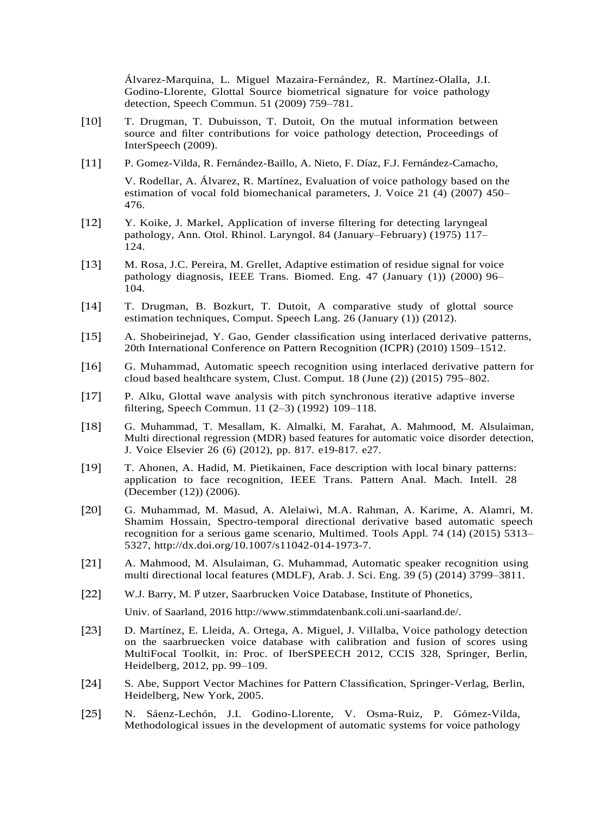[Álvarez-Marquina, L. Miguel Mazaira-Fernández, R. Martínez-Olalla, J.I.](http://refhub.elsevier.com/S1746-8094(16)30097-0/sbref0045) [Godino-Llorente,](http://refhub.elsevier.com/S1746-8094(16)30097-0/sbref0045) [Glottal](http://refhub.elsevier.com/S1746-8094(16)30097-0/sbref0045) [Source](http://refhub.elsevier.com/S1746-8094(16)30097-0/sbref0045) [biometrical](http://refhub.elsevier.com/S1746-8094(16)30097-0/sbref0045) [signature](http://refhub.elsevier.com/S1746-8094(16)30097-0/sbref0045) [for](http://refhub.elsevier.com/S1746-8094(16)30097-0/sbref0045) [voice](http://refhub.elsevier.com/S1746-8094(16)30097-0/sbref0045) [pathology](http://refhub.elsevier.com/S1746-8094(16)30097-0/sbref0045) [detection, Speech Commun. 51 \(2009\)](http://refhub.elsevier.com/S1746-8094(16)30097-0/sbref0045) [759–781.](http://refhub.elsevier.com/S1746-8094(16)30097-0/sbref0045)

- [10] [T. Drugman, T. Dubuisson, T. Dutoit, On the mutual information between](http://refhub.elsevier.com/S1746-8094(16)30097-0/sbref0050) [source and filter contributions for voice pathology detection, Proceedings of](http://refhub.elsevier.com/S1746-8094(16)30097-0/sbref0050) [InterSpeech](http://refhub.elsevier.com/S1746-8094(16)30097-0/sbref0050) [\(2009\).](http://refhub.elsevier.com/S1746-8094(16)30097-0/sbref0050)
- [11] [P. Gomez-Vilda, R. Fernández-Baillo, A. Nieto, F. Díaz, F.J.](http://refhub.elsevier.com/S1746-8094(16)30097-0/sbref0055) [Fernández-Camacho,](http://refhub.elsevier.com/S1746-8094(16)30097-0/sbref0055)

<span id="page-23-4"></span>[V. Rodellar, A. Álvarez, R. Martínez, Evaluation of voice pathology based on](http://refhub.elsevier.com/S1746-8094(16)30097-0/sbref0055) [the](http://refhub.elsevier.com/S1746-8094(16)30097-0/sbref0055)  [estimation of vocal fold biomechanical parameters, J. Voice 21 \(4\) \(2007\)](http://refhub.elsevier.com/S1746-8094(16)30097-0/sbref0055) [450–](http://refhub.elsevier.com/S1746-8094(16)30097-0/sbref0055) [476.](http://refhub.elsevier.com/S1746-8094(16)30097-0/sbref0055)

- [12] [Y.](http://refhub.elsevier.com/S1746-8094(16)30097-0/sbref0060) [Koike,](http://refhub.elsevier.com/S1746-8094(16)30097-0/sbref0060) [J.](http://refhub.elsevier.com/S1746-8094(16)30097-0/sbref0060) [Markel,](http://refhub.elsevier.com/S1746-8094(16)30097-0/sbref0060) [Application](http://refhub.elsevier.com/S1746-8094(16)30097-0/sbref0060) [of](http://refhub.elsevier.com/S1746-8094(16)30097-0/sbref0060) [inverse](http://refhub.elsevier.com/S1746-8094(16)30097-0/sbref0060) [filtering](http://refhub.elsevier.com/S1746-8094(16)30097-0/sbref0060) [for](http://refhub.elsevier.com/S1746-8094(16)30097-0/sbref0060) [detecting](http://refhub.elsevier.com/S1746-8094(16)30097-0/sbref0060) [laryngeal](http://refhub.elsevier.com/S1746-8094(16)30097-0/sbref0060) [pathology, Ann. Otol. Rhinol. Laryngol. 84 \(January–February\) \(1975\)](http://refhub.elsevier.com/S1746-8094(16)30097-0/sbref0060) [117–](http://refhub.elsevier.com/S1746-8094(16)30097-0/sbref0060) [124.](http://refhub.elsevier.com/S1746-8094(16)30097-0/sbref0060)
- [13] [M.](http://refhub.elsevier.com/S1746-8094(16)30097-0/sbref0065) [Rosa,](http://refhub.elsevier.com/S1746-8094(16)30097-0/sbref0065) [J.C.](http://refhub.elsevier.com/S1746-8094(16)30097-0/sbref0065) [Pereira,](http://refhub.elsevier.com/S1746-8094(16)30097-0/sbref0065) [M.](http://refhub.elsevier.com/S1746-8094(16)30097-0/sbref0065) [Grellet,](http://refhub.elsevier.com/S1746-8094(16)30097-0/sbref0065) [Adaptive](http://refhub.elsevier.com/S1746-8094(16)30097-0/sbref0065) [estimation](http://refhub.elsevier.com/S1746-8094(16)30097-0/sbref0065) [of](http://refhub.elsevier.com/S1746-8094(16)30097-0/sbref0065) [residue](http://refhub.elsevier.com/S1746-8094(16)30097-0/sbref0065) [signal](http://refhub.elsevier.com/S1746-8094(16)30097-0/sbref0065) [for](http://refhub.elsevier.com/S1746-8094(16)30097-0/sbref0065) [voice](http://refhub.elsevier.com/S1746-8094(16)30097-0/sbref0065) [pathology diagnosis, IEEE Trans. Biomed. Eng. 47](http://refhub.elsevier.com/S1746-8094(16)30097-0/sbref0065) [\(January \(1\)\) \(2000\)](http://refhub.elsevier.com/S1746-8094(16)30097-0/sbref0065) [96–](http://refhub.elsevier.com/S1746-8094(16)30097-0/sbref0065) [104.](http://refhub.elsevier.com/S1746-8094(16)30097-0/sbref0065)
- <span id="page-23-3"></span><span id="page-23-2"></span>[14] [T.](http://refhub.elsevier.com/S1746-8094(16)30097-0/sbref0070) [Drugman,](http://refhub.elsevier.com/S1746-8094(16)30097-0/sbref0070) [B.](http://refhub.elsevier.com/S1746-8094(16)30097-0/sbref0070) [Bozkurt,](http://refhub.elsevier.com/S1746-8094(16)30097-0/sbref0070) [T.](http://refhub.elsevier.com/S1746-8094(16)30097-0/sbref0070) [Dutoit,](http://refhub.elsevier.com/S1746-8094(16)30097-0/sbref0070) [A](http://refhub.elsevier.com/S1746-8094(16)30097-0/sbref0070) [comparative](http://refhub.elsevier.com/S1746-8094(16)30097-0/sbref0070) [study](http://refhub.elsevier.com/S1746-8094(16)30097-0/sbref0070) [of](http://refhub.elsevier.com/S1746-8094(16)30097-0/sbref0070) [glottal](http://refhub.elsevier.com/S1746-8094(16)30097-0/sbref0070) [source](http://refhub.elsevier.com/S1746-8094(16)30097-0/sbref0070) [estimation techniques, Comput. Speech Lang. 26 \(January \(1\)\)](http://refhub.elsevier.com/S1746-8094(16)30097-0/sbref0070) [\(2012\).](http://refhub.elsevier.com/S1746-8094(16)30097-0/sbref0070)
- <span id="page-23-1"></span>[15] [A. Shobeirinejad, Y. Gao, Gender classification using interlaced derivative](http://refhub.elsevier.com/S1746-8094(16)30097-0/sbref0075) [patterns,](http://refhub.elsevier.com/S1746-8094(16)30097-0/sbref0075)  [20th International Conference on Pattern Recognition \(ICPR\) \(2010\)](http://refhub.elsevier.com/S1746-8094(16)30097-0/sbref0075) [1509–1512.](http://refhub.elsevier.com/S1746-8094(16)30097-0/sbref0075)
- <span id="page-23-5"></span>[16] [G. Muhammad, Automatic speech recognition using interlaced derivative](http://refhub.elsevier.com/S1746-8094(16)30097-0/sbref0080) [pattern for](http://refhub.elsevier.com/S1746-8094(16)30097-0/sbref0080)  [cloud based healthcare system, Clust. Comput.](http://refhub.elsevier.com/S1746-8094(16)30097-0/sbref0080) [18 \(June \(2\)\) \(2015\)](http://refhub.elsevier.com/S1746-8094(16)30097-0/sbref0080) [795–802.](http://refhub.elsevier.com/S1746-8094(16)30097-0/sbref0080)
- <span id="page-23-6"></span>[17] [P.](http://refhub.elsevier.com/S1746-8094(16)30097-0/sbref0085) [Alku,](http://refhub.elsevier.com/S1746-8094(16)30097-0/sbref0085) [Glottal](http://refhub.elsevier.com/S1746-8094(16)30097-0/sbref0085) [wave](http://refhub.elsevier.com/S1746-8094(16)30097-0/sbref0085) [analysis](http://refhub.elsevier.com/S1746-8094(16)30097-0/sbref0085) [with](http://refhub.elsevier.com/S1746-8094(16)30097-0/sbref0085) [pitch](http://refhub.elsevier.com/S1746-8094(16)30097-0/sbref0085) [synchronous](http://refhub.elsevier.com/S1746-8094(16)30097-0/sbref0085) [iterative](http://refhub.elsevier.com/S1746-8094(16)30097-0/sbref0085) [adaptive](http://refhub.elsevier.com/S1746-8094(16)30097-0/sbref0085) [inverse](http://refhub.elsevier.com/S1746-8094(16)30097-0/sbref0085)  [filtering, Speech Commun. 11 \(2–3\) \(1992\)](http://refhub.elsevier.com/S1746-8094(16)30097-0/sbref0085) [109–118.](http://refhub.elsevier.com/S1746-8094(16)30097-0/sbref0085)
- <span id="page-23-7"></span>[18] [G. Muhammad, T. Mesallam, K. Almalki, M. Farahat, A. Mahmood, M.](http://refhub.elsevier.com/S1746-8094(16)30097-0/sbref0090) [Alsulaiman,](http://refhub.elsevier.com/S1746-8094(16)30097-0/sbref0090)  [Multi directional regression \(MDR\) based features](http://refhub.elsevier.com/S1746-8094(16)30097-0/sbref0090) [for automatic](http://refhub.elsevier.com/S1746-8094(16)30097-0/sbref0090) [voice](http://refhub.elsevier.com/S1746-8094(16)30097-0/sbref0090) [disorder](http://refhub.elsevier.com/S1746-8094(16)30097-0/sbref0090) [detection,](http://refhub.elsevier.com/S1746-8094(16)30097-0/sbref0090) [J.](http://refhub.elsevier.com/S1746-8094(16)30097-0/sbref0090) [Voice](http://refhub.elsevier.com/S1746-8094(16)30097-0/sbref0090) [Elsevier](http://refhub.elsevier.com/S1746-8094(16)30097-0/sbref0090) [26](http://refhub.elsevier.com/S1746-8094(16)30097-0/sbref0090) [\(6\)](http://refhub.elsevier.com/S1746-8094(16)30097-0/sbref0090) [\(2012\),](http://refhub.elsevier.com/S1746-8094(16)30097-0/sbref0090) [pp.](http://refhub.elsevier.com/S1746-8094(16)30097-0/sbref0090) [817.](http://refhub.elsevier.com/S1746-8094(16)30097-0/sbref0090) [e19-817.](http://refhub.elsevier.com/S1746-8094(16)30097-0/sbref0090) [e27.](http://refhub.elsevier.com/S1746-8094(16)30097-0/sbref0090)
- [19] [T. Ahonen, A. Hadid, M. Pietikainen, Face description with local binary](http://refhub.elsevier.com/S1746-8094(16)30097-0/sbref0095) [patterns:](http://refhub.elsevier.com/S1746-8094(16)30097-0/sbref0095) [application](http://refhub.elsevier.com/S1746-8094(16)30097-0/sbref0095) [to](http://refhub.elsevier.com/S1746-8094(16)30097-0/sbref0095) [face](http://refhub.elsevier.com/S1746-8094(16)30097-0/sbref0095) [recognition,](http://refhub.elsevier.com/S1746-8094(16)30097-0/sbref0095) [IEEE](http://refhub.elsevier.com/S1746-8094(16)30097-0/sbref0095) [Trans.](http://refhub.elsevier.com/S1746-8094(16)30097-0/sbref0095) [Pattern](http://refhub.elsevier.com/S1746-8094(16)30097-0/sbref0095) [Anal.](http://refhub.elsevier.com/S1746-8094(16)30097-0/sbref0095) [Mach.](http://refhub.elsevier.com/S1746-8094(16)30097-0/sbref0095) [Intell. 28](http://refhub.elsevier.com/S1746-8094(16)30097-0/sbref0095)  [\(December \(12\)\)](http://refhub.elsevier.com/S1746-8094(16)30097-0/sbref0095) [\(2006\).](http://refhub.elsevier.com/S1746-8094(16)30097-0/sbref0095)
- [20] G. Muhammad, M. Masud, A. Alelaiwi, M.A. Rahman, A. Karime, A. Alamri, M. Shamim Hossain, Spectro-temporal directional derivative based automatic speech recognition for a serious game scenario, Multimed. Tools Appl. 74 (14) (2015) 5313– 5327, [http://dx.doi.org/10.1007/s11042-014-1973-7.](http://dx.doi.org/10.1007/s11042-014-1973-7)
- [21] [A.](http://refhub.elsevier.com/S1746-8094(16)30097-0/sbref0105) [Mahmood,](http://refhub.elsevier.com/S1746-8094(16)30097-0/sbref0105) [M.](http://refhub.elsevier.com/S1746-8094(16)30097-0/sbref0105) [Alsulaiman,](http://refhub.elsevier.com/S1746-8094(16)30097-0/sbref0105) [G.](http://refhub.elsevier.com/S1746-8094(16)30097-0/sbref0105) [Muhammad,](http://refhub.elsevier.com/S1746-8094(16)30097-0/sbref0105) [Automatic](http://refhub.elsevier.com/S1746-8094(16)30097-0/sbref0105) [speaker](http://refhub.elsevier.com/S1746-8094(16)30097-0/sbref0105) [recognition](http://refhub.elsevier.com/S1746-8094(16)30097-0/sbref0105) [using](http://refhub.elsevier.com/S1746-8094(16)30097-0/sbref0105)  [multi directional local features \(MDLF\), Arab. J. Sci. Eng. 39 \(5\) \(2014\)](http://refhub.elsevier.com/S1746-8094(16)30097-0/sbref0105) [3799–3811.](http://refhub.elsevier.com/S1746-8094(16)30097-0/sbref0105)
- <span id="page-23-0"></span>[22] W.J. Barry, M. P utzer, Saarbrucken Voice Database, Institute of Phonetics,

<span id="page-23-8"></span>Univ. of Saarland, 2016 [http://www.stimmdatenbank.coli.uni-saarland.de/.](http://www.stimmdatenbank.coli.uni-saarland.de/)

- [23] [D. Martínez, E. Lleida, A. Ortega, A. Miguel, J. Villalba, Voice pathology](http://refhub.elsevier.com/S1746-8094(16)30097-0/sbref0115) [detection](http://refhub.elsevier.com/S1746-8094(16)30097-0/sbref0115)  [on the saarbruecken voice database with calibration and fusion of](http://refhub.elsevier.com/S1746-8094(16)30097-0/sbref0115) [scores using](http://refhub.elsevier.com/S1746-8094(16)30097-0/sbref0115)  [MultiFocal Toolkit, in: Proc. of IberSPEECH 2012, CCIS 328,](http://refhub.elsevier.com/S1746-8094(16)30097-0/sbref0115) [Springer, Berlin,](http://refhub.elsevier.com/S1746-8094(16)30097-0/sbref0115)  [Heidelberg, 2012, pp.](http://refhub.elsevier.com/S1746-8094(16)30097-0/sbref0115) [99–109.](http://refhub.elsevier.com/S1746-8094(16)30097-0/sbref0115)
- [24] [S.](http://refhub.elsevier.com/S1746-8094(16)30097-0/sbref0120) [Abe,](http://refhub.elsevier.com/S1746-8094(16)30097-0/sbref0120) [Support](http://refhub.elsevier.com/S1746-8094(16)30097-0/sbref0120) [Vector](http://refhub.elsevier.com/S1746-8094(16)30097-0/sbref0120) [Machines](http://refhub.elsevier.com/S1746-8094(16)30097-0/sbref0120) [for](http://refhub.elsevier.com/S1746-8094(16)30097-0/sbref0120) [Pattern](http://refhub.elsevier.com/S1746-8094(16)30097-0/sbref0120) [Classification,](http://refhub.elsevier.com/S1746-8094(16)30097-0/sbref0120) [Springer-Verlag,](http://refhub.elsevier.com/S1746-8094(16)30097-0/sbref0120) [Berlin,](http://refhub.elsevier.com/S1746-8094(16)30097-0/sbref0120)  [Heidelberg, New York,](http://refhub.elsevier.com/S1746-8094(16)30097-0/sbref0120) [2005.](http://refhub.elsevier.com/S1746-8094(16)30097-0/sbref0120)
- [25] [N. Sáenz-Lechón, J.I. Godino-Llorente, V. Osma-Ruiz, P. Gómez-Vilda,](http://refhub.elsevier.com/S1746-8094(16)30097-0/sbref0125) [Methodological issues in the development of automatic systems for voice](http://refhub.elsevier.com/S1746-8094(16)30097-0/sbref0125) [pathology](http://refhub.elsevier.com/S1746-8094(16)30097-0/sbref0125)